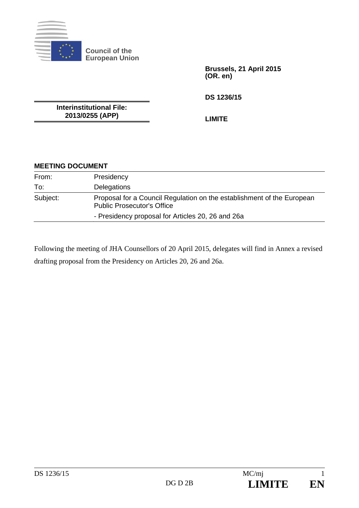

**Council of the European Union** 

> **Brussels, 21 April 2015 (OR. en)**

**DS 1236/15** 

**Interinstitutional File: 2013/0255 (APP)** 

**LIMITE** 

## **MEETING DOCUMENT**

| From:    | Presidency                                                                                                  |
|----------|-------------------------------------------------------------------------------------------------------------|
| To:      | Delegations                                                                                                 |
| Subject: | Proposal for a Council Regulation on the establishment of the European<br><b>Public Prosecutor's Office</b> |
|          | - Presidency proposal for Articles 20, 26 and 26a                                                           |

Following the meeting of JHA Counsellors of 20 April 2015, delegates will find in Annex a revised drafting proposal from the Presidency on Articles 20, 26 and 26a.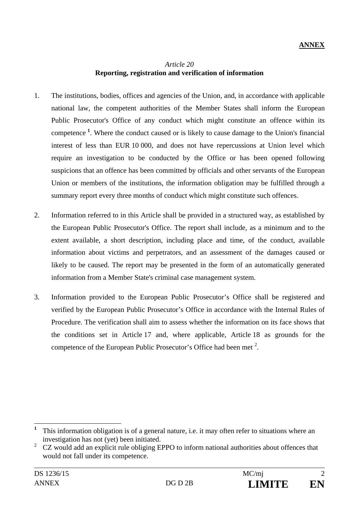### *Article 20*  **Reporting, registration and verification of information**

- 1. The institutions, bodies, offices and agencies of the Union, and, in accordance with applicable national law, the competent authorities of the Member States shall inform the European Public Prosecutor's Office of any conduct which might constitute an offence within its competence **<sup>1</sup>** . Where the conduct caused or is likely to cause damage to the Union's financial interest of less than EUR 10 000, and does not have repercussions at Union level which require an investigation to be conducted by the Office or has been opened following suspicions that an offence has been committed by officials and other servants of the European Union or members of the institutions, the information obligation may be fulfilled through a summary report every three months of conduct which might constitute such offences.
- 2. Information referred to in this Article shall be provided in a structured way, as established by the European Public Prosecutor's Office. The report shall include, as a minimum and to the extent available, a short description, including place and time, of the conduct, available information about victims and perpetrators, and an assessment of the damages caused or likely to be caused. The report may be presented in the form of an automatically generated information from a Member State's criminal case management system.
- 3. Information provided to the European Public Prosecutor's Office shall be registered and verified by the European Public Prosecutor's Office in accordance with the Internal Rules of Procedure. The verification shall aim to assess whether the information on its face shows that the conditions set in Article 17 and, where applicable, Article 18 as grounds for the competence of the European Public Prosecutor's Office had been met  $2$ .

<sup>&</sup>lt;sup>1</sup> This information obligation is of a general nature, i.e. it may often refer to situations where an investigation has not (yet) been initiated.

<sup>2</sup> CZ would add an explicit rule obliging EPPO to inform national authorities about offences that would not fall under its competence.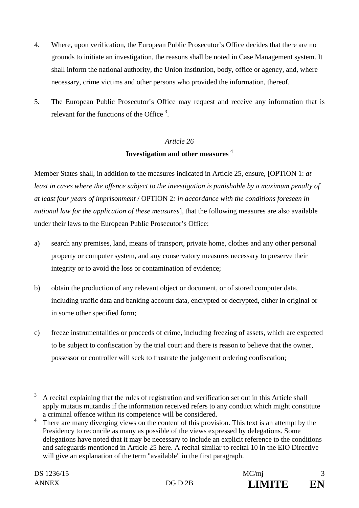- 4. Where, upon verification, the European Public Prosecutor's Office decides that there are no grounds to initiate an investigation, the reasons shall be noted in Case Management system. It shall inform the national authority, the Union institution, body, office or agency, and, where necessary, crime victims and other persons who provided the information, thereof.
- 5. The European Public Prosecutor's Office may request and receive any information that is relevant for the functions of the Office  $3$ .

### *Article 26*

### **Investigation and other measures** <sup>4</sup>

Member States shall, in addition to the measures indicated in Article 25, ensure, [OPTION 1: *at least in cases where the offence subject to the investigation is punishable by a maximum penalty of at least four years of imprisonment* / OPTION 2*: in accordance with the conditions foreseen in national law for the application of these measures*], that the following measures are also available under their laws to the European Public Prosecutor's Office:

- a) search any premises, land, means of transport, private home, clothes and any other personal property or computer system, and any conservatory measures necessary to preserve their integrity or to avoid the loss or contamination of evidence;
- b) obtain the production of any relevant object or document, or of stored computer data, including traffic data and banking account data, encrypted or decrypted, either in original or in some other specified form;
- c) freeze instrumentalities or proceeds of crime, including freezing of assets, which are expected to be subject to confiscation by the trial court and there is reason to believe that the owner, possessor or controller will seek to frustrate the judgement ordering confiscation;

 $\mathcal{R}$ <sup>3</sup> A recital explaining that the rules of registration and verification set out in this Article shall apply mutatis mutandis if the information received refers to any conduct which might constitute a criminal offence within its competence will be considered.

**<sup>4</sup>** There are many diverging views on the content of this provision. This text is an attempt by the Presidency to reconcile as many as possible of the views expressed by delegations. Some delegations have noted that it may be necessary to include an explicit reference to the conditions and safeguards mentioned in Article 25 here. A recital similar to recital 10 in the EIO Directive will give an explanation of the term "available" in the first paragraph.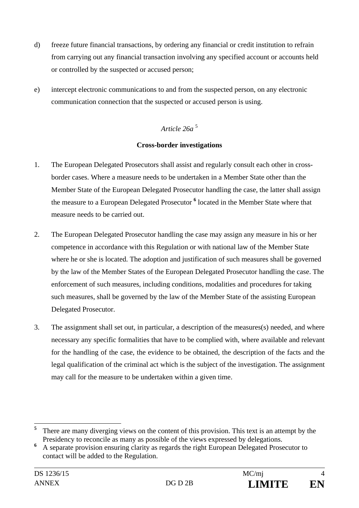- d) freeze future financial transactions, by ordering any financial or credit institution to refrain from carrying out any financial transaction involving any specified account or accounts held or controlled by the suspected or accused person;
- e) intercept electronic communications to and from the suspected person, on any electronic communication connection that the suspected or accused person is using.

# *Article 26a* <sup>5</sup>

### **Cross-border investigations**

- 1. The European Delegated Prosecutors shall assist and regularly consult each other in crossborder cases. Where a measure needs to be undertaken in a Member State other than the Member State of the European Delegated Prosecutor handling the case, the latter shall assign the measure to a European Delegated Prosecutor <sup>6</sup> located in the Member State where that measure needs to be carried out.
- 2. The European Delegated Prosecutor handling the case may assign any measure in his or her competence in accordance with this Regulation or with national law of the Member State where he or she is located. The adoption and justification of such measures shall be governed by the law of the Member States of the European Delegated Prosecutor handling the case. The enforcement of such measures, including conditions, modalities and procedures for taking such measures, shall be governed by the law of the Member State of the assisting European Delegated Prosecutor.
- 3. The assignment shall set out, in particular, a description of the measures(s) needed, and where necessary any specific formalities that have to be complied with, where available and relevant for the handling of the case, the evidence to be obtained, the description of the facts and the legal qualification of the criminal act which is the subject of the investigation. The assignment may call for the measure to be undertaken within a given time.

 $\overline{a}$ 

**<sup>5</sup>** There are many diverging views on the content of this provision. This text is an attempt by the Presidency to reconcile as many as possible of the views expressed by delegations.

**<sup>6</sup>** A separate provision ensuring clarity as regards the right European Delegated Prosecutor to contact will be added to the Regulation.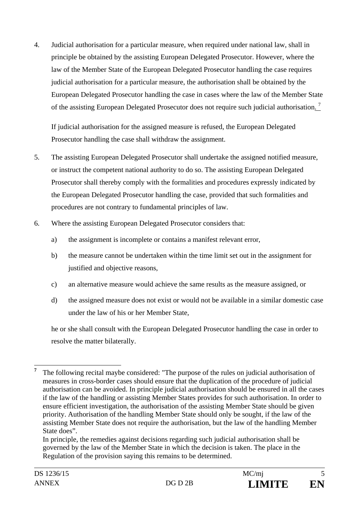4. Judicial authorisation for a particular measure, when required under national law, shall in principle be obtained by the assisting European Delegated Prosecutor. However, where the law of the Member State of the European Delegated Prosecutor handling the case requires judicial authorisation for a particular measure, the authorisation shall be obtained by the European Delegated Prosecutor handling the case in cases where the law of the Member State of the assisting European Delegated Prosecutor does not require such judicial authorisation.<sup>7</sup>

If judicial authorisation for the assigned measure is refused, the European Delegated Prosecutor handling the case shall withdraw the assignment.

- 5. The assisting European Delegated Prosecutor shall undertake the assigned notified measure, or instruct the competent national authority to do so. The assisting European Delegated Prosecutor shall thereby comply with the formalities and procedures expressly indicated by the European Delegated Prosecutor handling the case, provided that such formalities and procedures are not contrary to fundamental principles of law.
- 6. Where the assisting European Delegated Prosecutor considers that:
	- a) the assignment is incomplete or contains a manifest relevant error,
	- b) the measure cannot be undertaken within the time limit set out in the assignment for justified and objective reasons,
	- c) an alternative measure would achieve the same results as the measure assigned, or
	- d) the assigned measure does not exist or would not be available in a similar domestic case under the law of his or her Member State,

he or she shall consult with the European Delegated Prosecutor handling the case in order to resolve the matter bilaterally.

 In principle, the remedies against decisions regarding such judicial authorisation shall be governed by the law of the Member State in which the decision is taken. The place in the Regulation of the provision saying this remains to be determined.

 **7** The following recital maybe considered: "The purpose of the rules on judicial authorisation of measures in cross-border cases should ensure that the duplication of the procedure of judicial authorisation can be avoided. In principle judicial authorisation should be ensured in all the cases if the law of the handling or assisting Member States provides for such authorisation. In order to ensure efficient investigation, the authorisation of the assisting Member State should be given priority. Authorisation of the handling Member State should only be sought, if the law of the assisting Member State does not require the authorisation, but the law of the handling Member State does".